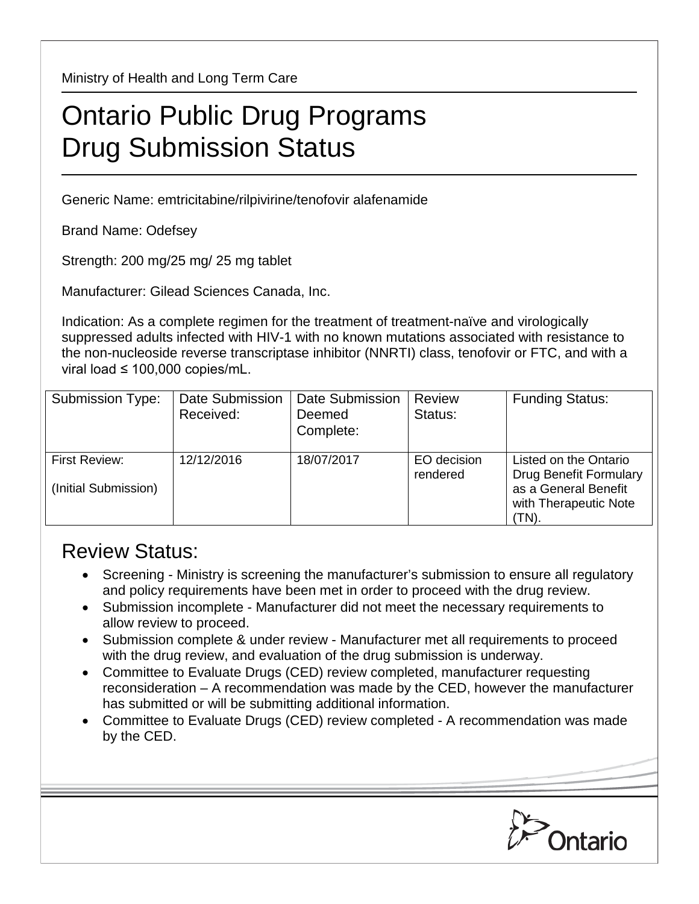Ministry of Health and Long Term Care

## Ontario Public Drug Programs Drug Submission Status

Generic Name: emtricitabine/rilpivirine/tenofovir alafenamide

Brand Name: Odefsey

Strength: 200 mg/25 mg/ 25 mg tablet

Manufacturer: Gilead Sciences Canada, Inc.

Indication: As a complete regimen for the treatment of treatment-naïve and virologically suppressed adults infected with HIV-1 with no known mutations associated with resistance to the non-nucleoside reverse transcriptase inhibitor (NNRTI) class, tenofovir or FTC, and with a viral load ≤ 100,000 copies/mL.

| <b>Submission Type:</b>               | Date Submission<br>Received: | <b>Date Submission</b><br>Deemed<br>Complete: | <b>Review</b><br>Status: | <b>Funding Status:</b>                                                                                           |
|---------------------------------------|------------------------------|-----------------------------------------------|--------------------------|------------------------------------------------------------------------------------------------------------------|
| First Review:<br>(Initial Submission) | 12/12/2016                   | 18/07/2017                                    | EO decision<br>rendered  | Listed on the Ontario<br><b>Drug Benefit Formulary</b><br>as a General Benefit<br>with Therapeutic Note<br>(TN). |

## Review Status:

- Screening Ministry is screening the manufacturer's submission to ensure all regulatory and policy requirements have been met in order to proceed with the drug review.
- Submission incomplete Manufacturer did not meet the necessary requirements to allow review to proceed.
- Submission complete & under review Manufacturer met all requirements to proceed with the drug review, and evaluation of the drug submission is underway.
- Committee to Evaluate Drugs (CED) review completed, manufacturer requesting reconsideration – A recommendation was made by the CED, however the manufacturer has submitted or will be submitting additional information.
- Committee to Evaluate Drugs (CED) review completed A recommendation was made by the CED.